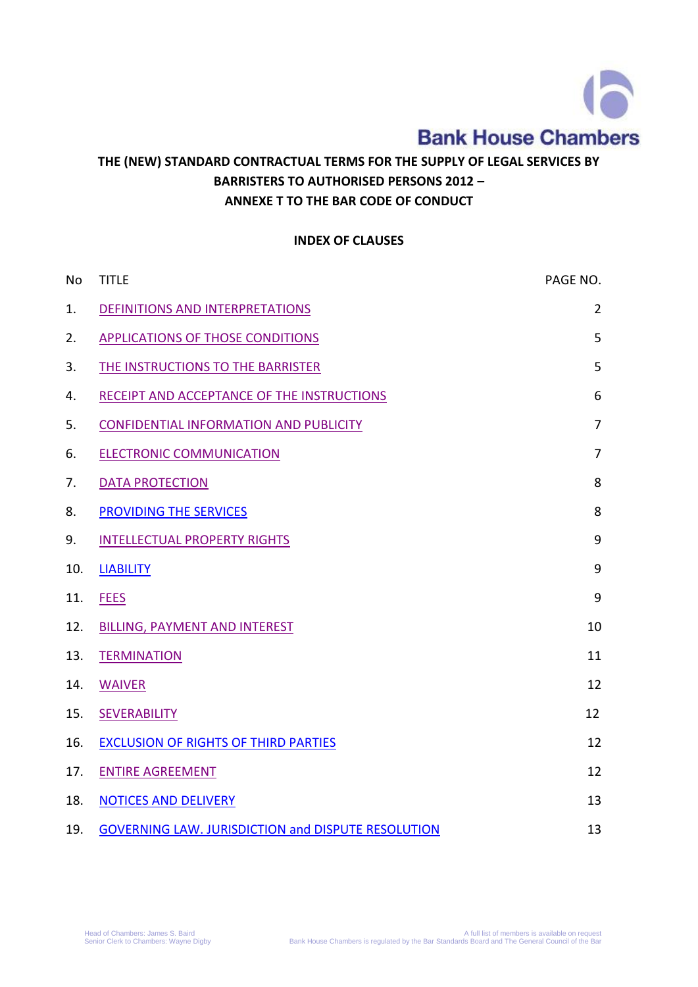

## **THE (NEW) STANDARD CONTRACTUAL TERMS FOR THE SUPPLY OF LEGAL SERVICES BY BARRISTERS TO AUTHORISED PERSONS 2012 – ANNEXE T TO THE BAR CODE OF CONDUCT**

### **INDEX OF CLAUSES**

| No  | <b>TITLE</b>                                              | PAGE NO.       |
|-----|-----------------------------------------------------------|----------------|
| 1.  | DEFINITIONS AND INTERPRETATIONS                           | $\overline{2}$ |
| 2.  | <b>APPLICATIONS OF THOSE CONDITIONS</b>                   | 5              |
| 3.  | THE INSTRUCTIONS TO THE BARRISTER                         | 5              |
| 4.  | RECEIPT AND ACCEPTANCE OF THE INSTRUCTIONS                | 6              |
| 5.  | <b>CONFIDENTIAL INFORMATION AND PUBLICITY</b>             | $\overline{7}$ |
| 6.  | <b>ELECTRONIC COMMUNICATION</b>                           | $\overline{7}$ |
| 7.  | <b>DATA PROTECTION</b>                                    | 8              |
| 8.  | <b>PROVIDING THE SERVICES</b>                             | 8              |
| 9.  | <b>INTELLECTUAL PROPERTY RIGHTS</b>                       | 9              |
| 10. | <b>LIABILITY</b>                                          | 9              |
| 11. | <b>FEES</b>                                               | 9              |
| 12. | <b>BILLING, PAYMENT AND INTEREST</b>                      | 10             |
| 13. | <b>TERMINATION</b>                                        | 11             |
| 14. | <b>WAIVER</b>                                             | 12             |
| 15. | <b>SEVERABILITY</b>                                       | 12             |
| 16. | <b>EXCLUSION OF RIGHTS OF THIRD PARTIES</b>               | 12             |
| 17. | <b>ENTIRE AGREEMENT</b>                                   | 12             |
| 18. | <b>NOTICES AND DELIVERY</b>                               | 13             |
| 19. | <b>GOVERNING LAW. JURISDICTION and DISPUTE RESOLUTION</b> | 13             |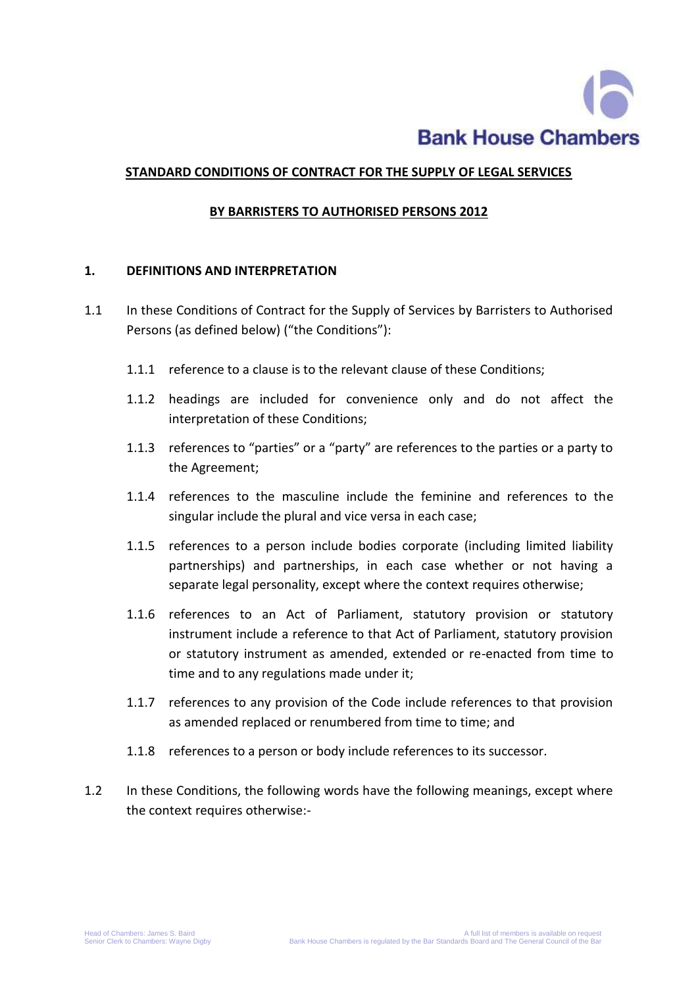

### **STANDARD CONDITIONS OF CONTRACT FOR THE SUPPLY OF LEGAL SERVICES**

### **BY BARRISTERS TO AUTHORISED PERSONS 2012**

### <span id="page-1-0"></span>**1. DEFINITIONS AND INTERPRETATION**

- 1.1 In these Conditions of Contract for the Supply of Services by Barristers to Authorised Persons (as defined below) ("the Conditions"):
	- 1.1.1 reference to a clause is to the relevant clause of these Conditions;
	- 1.1.2 headings are included for convenience only and do not affect the interpretation of these Conditions;
	- 1.1.3 references to "parties" or a "party" are references to the parties or a party to the Agreement;
	- 1.1.4 references to the masculine include the feminine and references to the singular include the plural and vice versa in each case;
	- 1.1.5 references to a person include bodies corporate (including limited liability partnerships) and partnerships, in each case whether or not having a separate legal personality, except where the context requires otherwise;
	- 1.1.6 references to an Act of Parliament, statutory provision or statutory instrument include a reference to that Act of Parliament, statutory provision or statutory instrument as amended, extended or re-enacted from time to time and to any regulations made under it;
	- 1.1.7 references to any provision of the Code include references to that provision as amended replaced or renumbered from time to time; and
	- 1.1.8 references to a person or body include references to its successor.
- 1.2 In these Conditions, the following words have the following meanings, except where the context requires otherwise:-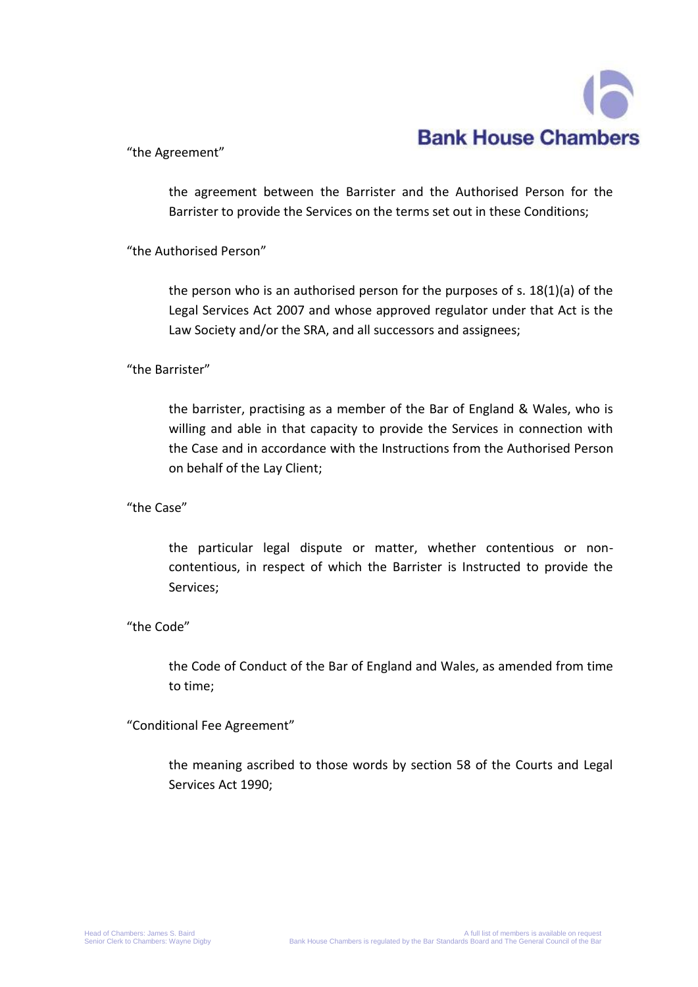

"the Agreement"

the agreement between the Barrister and the Authorised Person for the Barrister to provide the Services on the terms set out in these Conditions;

"the Authorised Person"

the person who is an authorised person for the purposes of s. 18(1)(a) of the Legal Services Act 2007 and whose approved regulator under that Act is the Law Society and/or the SRA, and all successors and assignees;

### "the Barrister"

the barrister, practising as a member of the Bar of England & Wales, who is willing and able in that capacity to provide the Services in connection with the Case and in accordance with the Instructions from the Authorised Person on behalf of the Lay Client;

### "the Case"

the particular legal dispute or matter, whether contentious or noncontentious, in respect of which the Barrister is Instructed to provide the Services;

### "the Code"

the Code of Conduct of the Bar of England and Wales, as amended from time to time;

### "Conditional Fee Agreement"

the meaning ascribed to those words by section 58 of the Courts and Legal Services Act 1990;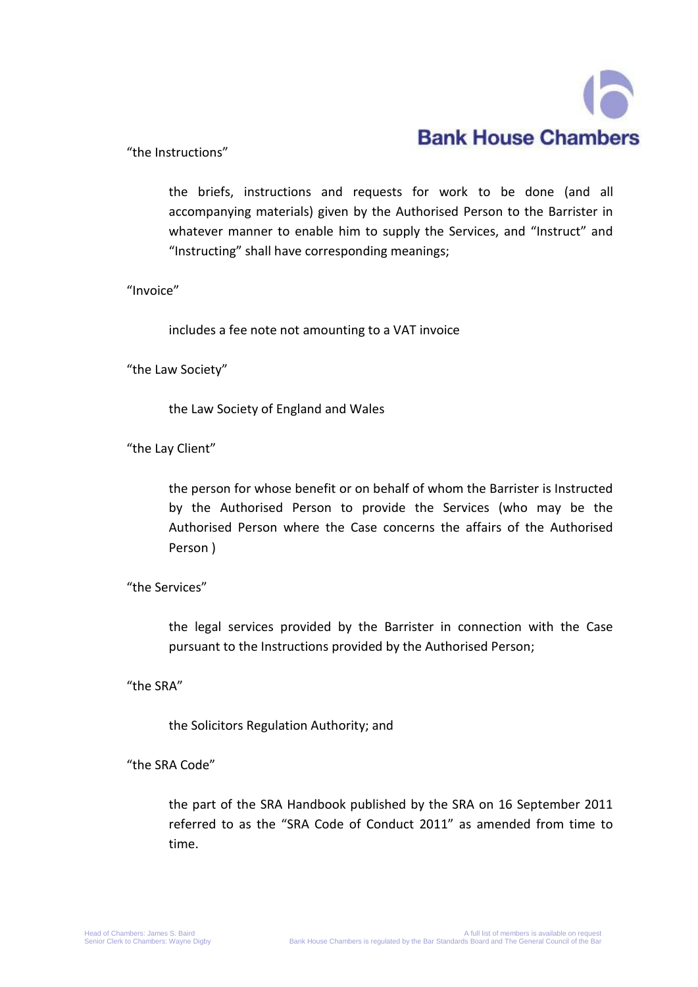

"the Instructions"

the briefs, instructions and requests for work to be done (and all accompanying materials) given by the Authorised Person to the Barrister in whatever manner to enable him to supply the Services, and "Instruct" and "Instructing" shall have corresponding meanings;

### "Invoice"

includes a fee note not amounting to a VAT invoice

"the Law Society"

the Law Society of England and Wales

"the Lay Client"

the person for whose benefit or on behalf of whom the Barrister is Instructed by the Authorised Person to provide the Services (who may be the Authorised Person where the Case concerns the affairs of the Authorised Person )

"the Services"

the legal services provided by the Barrister in connection with the Case pursuant to the Instructions provided by the Authorised Person;

"the SRA"

the Solicitors Regulation Authority; and

"the SRA Code"

the part of the SRA Handbook published by the SRA on 16 September 2011 referred to as the "SRA Code of Conduct 2011" as amended from time to time.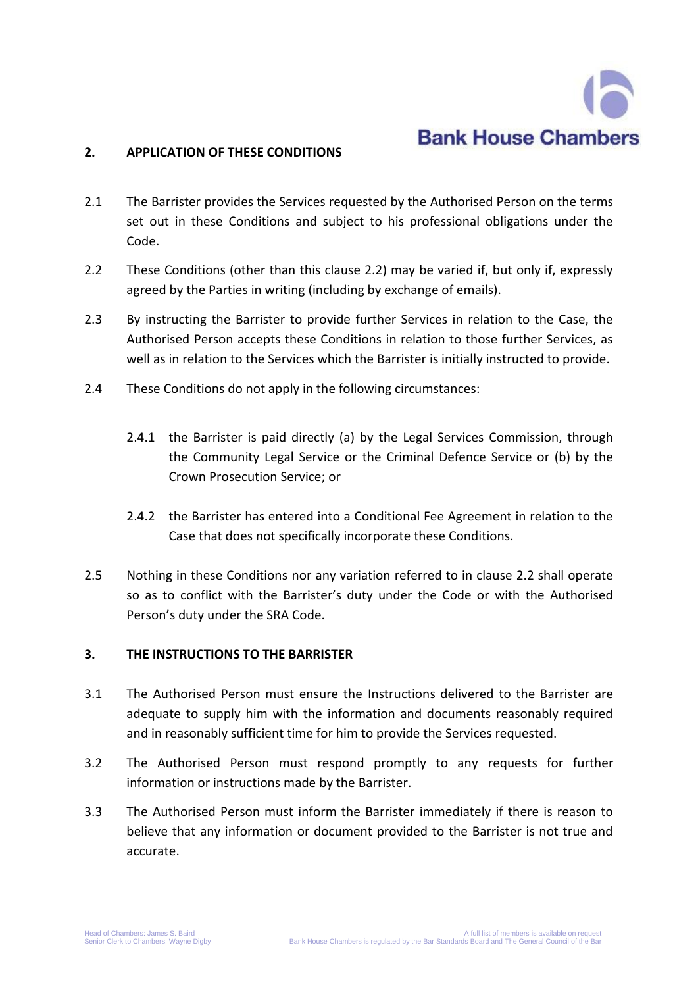

### <span id="page-4-0"></span>**2. APPLICATION OF THESE CONDITIONS**

- 2.1 The Barrister provides the Services requested by the Authorised Person on the terms set out in these Conditions and subject to his professional obligations under the Code.
- 2.2 These Conditions (other than this clause 2.2) may be varied if, but only if, expressly agreed by the Parties in writing (including by exchange of emails).
- 2.3 By instructing the Barrister to provide further Services in relation to the Case, the Authorised Person accepts these Conditions in relation to those further Services, as well as in relation to the Services which the Barrister is initially instructed to provide.
- 2.4 These Conditions do not apply in the following circumstances:
	- 2.4.1 the Barrister is paid directly (a) by the Legal Services Commission, through the Community Legal Service or the Criminal Defence Service or (b) by the Crown Prosecution Service; or
	- 2.4.2 the Barrister has entered into a Conditional Fee Agreement in relation to the Case that does not specifically incorporate these Conditions.
- 2.5 Nothing in these Conditions nor any variation referred to in clause 2.2 shall operate so as to conflict with the Barrister's duty under the Code or with the Authorised Person's duty under the SRA Code.

### <span id="page-4-1"></span>**3. THE INSTRUCTIONS TO THE BARRISTER**

- 3.1 The Authorised Person must ensure the Instructions delivered to the Barrister are adequate to supply him with the information and documents reasonably required and in reasonably sufficient time for him to provide the Services requested.
- 3.2 The Authorised Person must respond promptly to any requests for further information or instructions made by the Barrister.
- 3.3 The Authorised Person must inform the Barrister immediately if there is reason to believe that any information or document provided to the Barrister is not true and accurate.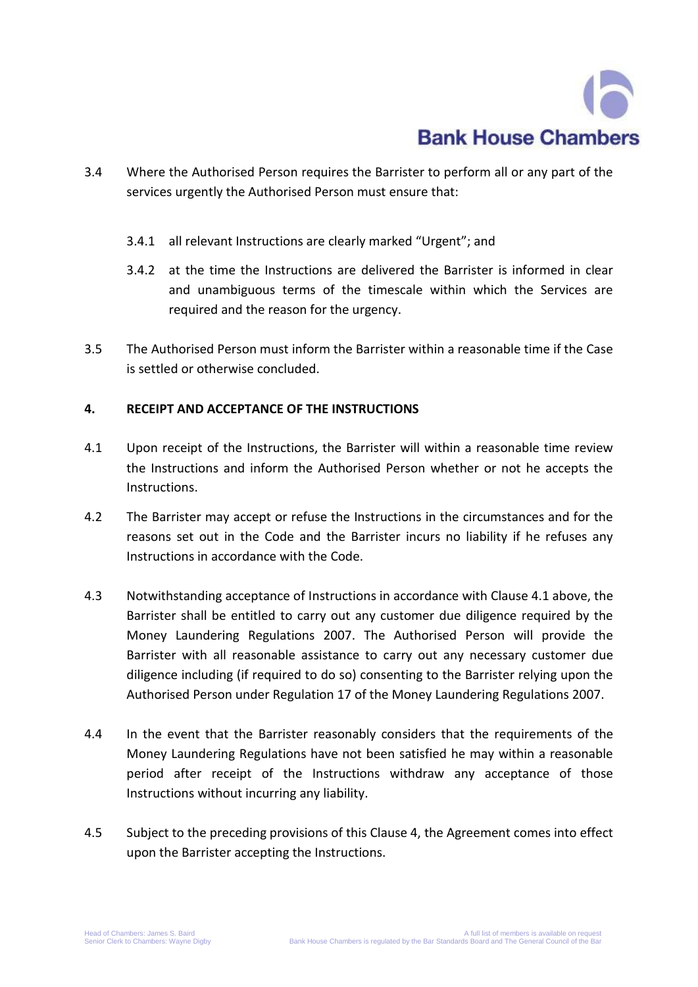

- 3.4 Where the Authorised Person requires the Barrister to perform all or any part of the services urgently the Authorised Person must ensure that:
	- 3.4.1 all relevant Instructions are clearly marked "Urgent"; and
	- 3.4.2 at the time the Instructions are delivered the Barrister is informed in clear and unambiguous terms of the timescale within which the Services are required and the reason for the urgency.
- 3.5 The Authorised Person must inform the Barrister within a reasonable time if the Case is settled or otherwise concluded.

### <span id="page-5-0"></span>**4. RECEIPT AND ACCEPTANCE OF THE INSTRUCTIONS**

- 4.1 Upon receipt of the Instructions, the Barrister will within a reasonable time review the Instructions and inform the Authorised Person whether or not he accepts the Instructions.
- 4.2 The Barrister may accept or refuse the Instructions in the circumstances and for the reasons set out in the Code and the Barrister incurs no liability if he refuses any Instructions in accordance with the Code.
- 4.3 Notwithstanding acceptance of Instructions in accordance with Clause 4.1 above, the Barrister shall be entitled to carry out any customer due diligence required by the Money Laundering Regulations 2007. The Authorised Person will provide the Barrister with all reasonable assistance to carry out any necessary customer due diligence including (if required to do so) consenting to the Barrister relying upon the Authorised Person under Regulation 17 of the Money Laundering Regulations 2007.
- 4.4 In the event that the Barrister reasonably considers that the requirements of the Money Laundering Regulations have not been satisfied he may within a reasonable period after receipt of the Instructions withdraw any acceptance of those Instructions without incurring any liability.
- <span id="page-5-1"></span>4.5 Subject to the preceding provisions of this Clause 4, the Agreement comes into effect upon the Barrister accepting the Instructions.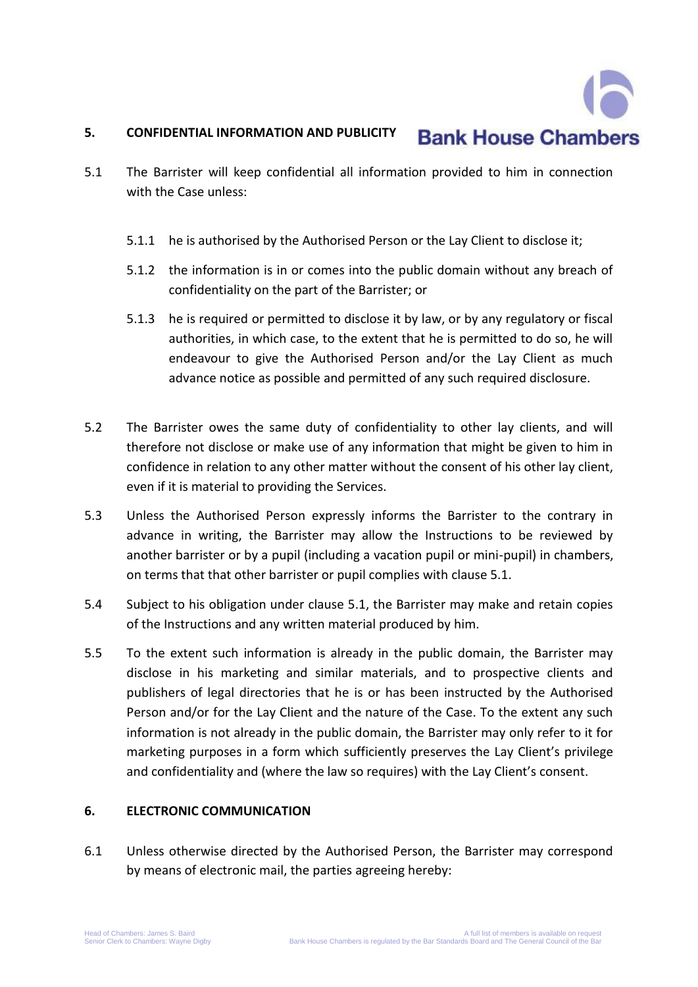

### **5. CONFIDENTIAL INFORMATION AND PUBLICITY**

- 5.1 The Barrister will keep confidential all information provided to him in connection with the Case unless:
	- 5.1.1 he is authorised by the Authorised Person or the Lay Client to disclose it;
	- 5.1.2 the information is in or comes into the public domain without any breach of confidentiality on the part of the Barrister; or
	- 5.1.3 he is required or permitted to disclose it by law, or by any regulatory or fiscal authorities, in which case, to the extent that he is permitted to do so, he will endeavour to give the Authorised Person and/or the Lay Client as much advance notice as possible and permitted of any such required disclosure.
- 5.2 The Barrister owes the same duty of confidentiality to other lay clients, and will therefore not disclose or make use of any information that might be given to him in confidence in relation to any other matter without the consent of his other lay client, even if it is material to providing the Services.
- 5.3 Unless the Authorised Person expressly informs the Barrister to the contrary in advance in writing, the Barrister may allow the Instructions to be reviewed by another barrister or by a pupil (including a vacation pupil or mini-pupil) in chambers, on terms that that other barrister or pupil complies with clause 5.1.
- 5.4 Subject to his obligation under clause 5.1, the Barrister may make and retain copies of the Instructions and any written material produced by him.
- 5.5 To the extent such information is already in the public domain, the Barrister may disclose in his marketing and similar materials, and to prospective clients and publishers of legal directories that he is or has been instructed by the Authorised Person and/or for the Lay Client and the nature of the Case. To the extent any such information is not already in the public domain, the Barrister may only refer to it for marketing purposes in a form which sufficiently preserves the Lay Client's privilege and confidentiality and (where the law so requires) with the Lay Client's consent.

### <span id="page-6-0"></span>**6. ELECTRONIC COMMUNICATION**

6.1 Unless otherwise directed by the Authorised Person, the Barrister may correspond by means of electronic mail, the parties agreeing hereby: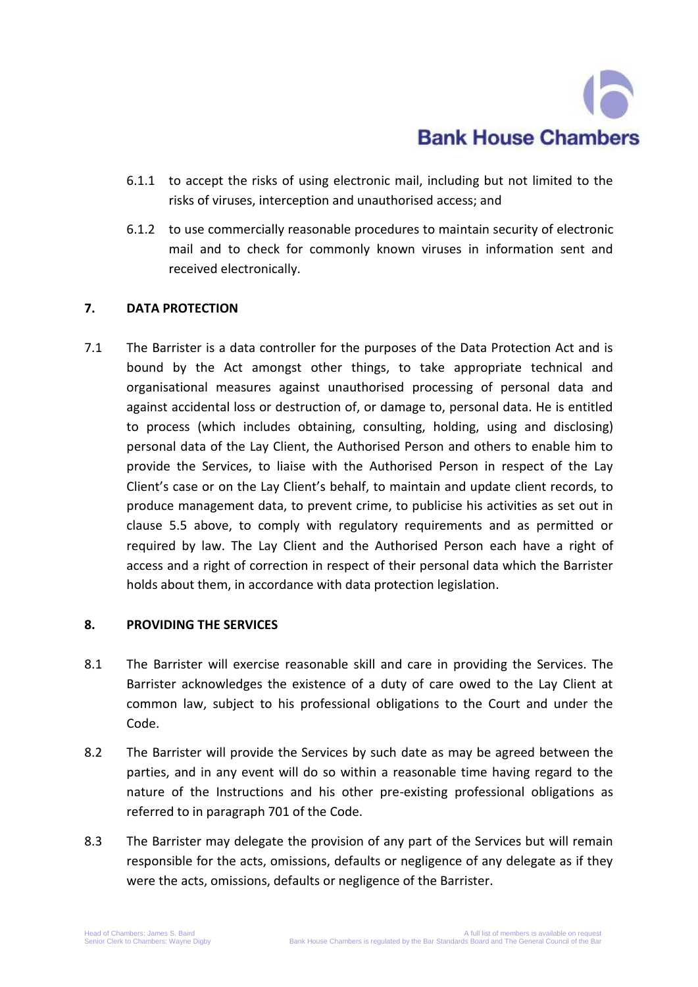

- 6.1.1 to accept the risks of using electronic mail, including but not limited to the risks of viruses, interception and unauthorised access; and
- 6.1.2 to use commercially reasonable procedures to maintain security of electronic mail and to check for commonly known viruses in information sent and received electronically.

### <span id="page-7-0"></span>**7. DATA PROTECTION**

7.1 The Barrister is a data controller for the purposes of the Data Protection Act and is bound by the Act amongst other things, to take appropriate technical and organisational measures against unauthorised processing of personal data and against accidental loss or destruction of, or damage to, personal data. He is entitled to process (which includes obtaining, consulting, holding, using and disclosing) personal data of the Lay Client, the Authorised Person and others to enable him to provide the Services, to liaise with the Authorised Person in respect of the Lay Client's case or on the Lay Client's behalf, to maintain and update client records, to produce management data, to prevent crime, to publicise his activities as set out in clause 5.5 above, to comply with regulatory requirements and as permitted or required by law. The Lay Client and the Authorised Person each have a right of access and a right of correction in respect of their personal data which the Barrister holds about them, in accordance with data protection legislation.

### <span id="page-7-1"></span>**8. PROVIDING THE SERVICES**

- 8.1 The Barrister will exercise reasonable skill and care in providing the Services. The Barrister acknowledges the existence of a duty of care owed to the Lay Client at common law, subject to his professional obligations to the Court and under the Code.
- 8.2 The Barrister will provide the Services by such date as may be agreed between the parties, and in any event will do so within a reasonable time having regard to the nature of the Instructions and his other pre-existing professional obligations as referred to in paragraph 701 of the Code.
- 8.3 The Barrister may delegate the provision of any part of the Services but will remain responsible for the acts, omissions, defaults or negligence of any delegate as if they were the acts, omissions, defaults or negligence of the Barrister.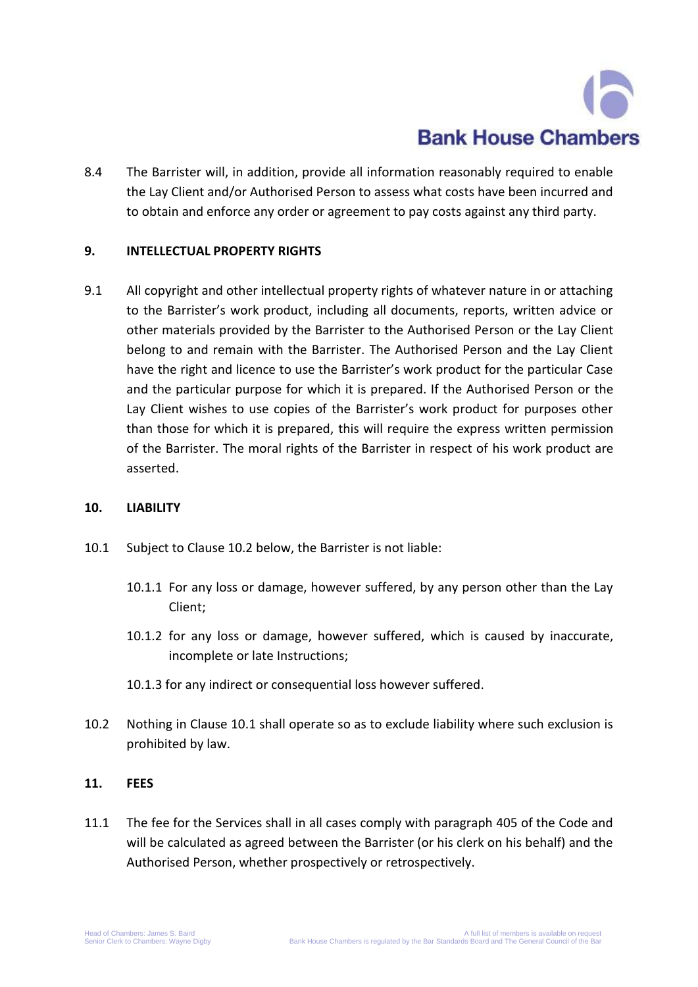8.4 The Barrister will, in addition, provide all information reasonably required to enable the Lay Client and/or Authorised Person to assess what costs have been incurred and to obtain and enforce any order or agreement to pay costs against any third party.

### <span id="page-8-0"></span>**9. INTELLECTUAL PROPERTY RIGHTS**

9.1 All copyright and other intellectual property rights of whatever nature in or attaching to the Barrister's work product, including all documents, reports, written advice or other materials provided by the Barrister to the Authorised Person or the Lay Client belong to and remain with the Barrister. The Authorised Person and the Lay Client have the right and licence to use the Barrister's work product for the particular Case and the particular purpose for which it is prepared. If the Authorised Person or the Lay Client wishes to use copies of the Barrister's work product for purposes other than those for which it is prepared, this will require the express written permission of the Barrister. The moral rights of the Barrister in respect of his work product are asserted.

### <span id="page-8-1"></span>**10. LIABILITY**

- 10.1 Subject to Clause 10.2 below, the Barrister is not liable:
	- 10.1.1 For any loss or damage, however suffered, by any person other than the Lay Client;
	- 10.1.2 for any loss or damage, however suffered, which is caused by inaccurate, incomplete or late Instructions;
	- 10.1.3 for any indirect or consequential loss however suffered.
- 10.2 Nothing in Clause 10.1 shall operate so as to exclude liability where such exclusion is prohibited by law.

### <span id="page-8-2"></span>**11. FEES**

11.1 The fee for the Services shall in all cases comply with paragraph 405 of the Code and will be calculated as agreed between the Barrister (or his clerk on his behalf) and the Authorised Person, whether prospectively or retrospectively.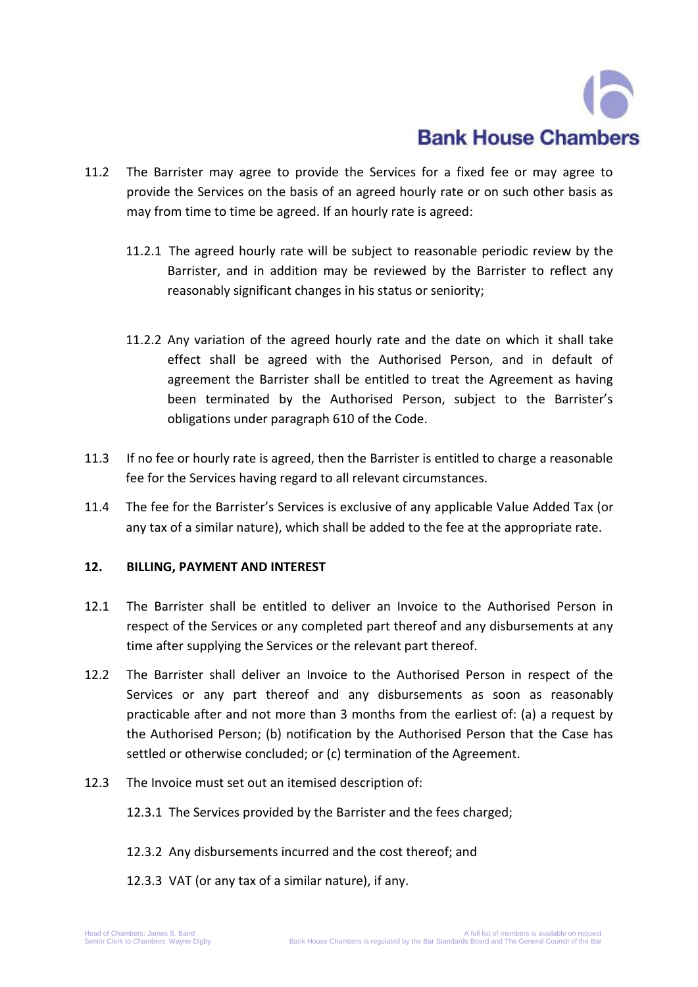- 11.2 The Barrister may agree to provide the Services for a fixed fee or may agree to provide the Services on the basis of an agreed hourly rate or on such other basis as may from time to time be agreed. If an hourly rate is agreed:
	- 11.2.1 The agreed hourly rate will be subject to reasonable periodic review by the Barrister, and in addition may be reviewed by the Barrister to reflect any reasonably significant changes in his status or seniority;
	- 11.2.2 Any variation of the agreed hourly rate and the date on which it shall take effect shall be agreed with the Authorised Person, and in default of agreement the Barrister shall be entitled to treat the Agreement as having been terminated by the Authorised Person, subject to the Barrister's obligations under paragraph 610 of the Code.
- 11.3 If no fee or hourly rate is agreed, then the Barrister is entitled to charge a reasonable fee for the Services having regard to all relevant circumstances.
- 11.4 The fee for the Barrister's Services is exclusive of any applicable Value Added Tax (or any tax of a similar nature), which shall be added to the fee at the appropriate rate.

### <span id="page-9-0"></span>**12. BILLING, PAYMENT AND INTEREST**

- 12.1 The Barrister shall be entitled to deliver an Invoice to the Authorised Person in respect of the Services or any completed part thereof and any disbursements at any time after supplying the Services or the relevant part thereof.
- 12.2 The Barrister shall deliver an Invoice to the Authorised Person in respect of the Services or any part thereof and any disbursements as soon as reasonably practicable after and not more than 3 months from the earliest of: (a) a request by the Authorised Person; (b) notification by the Authorised Person that the Case has settled or otherwise concluded; or (c) termination of the Agreement.
- 12.3 The Invoice must set out an itemised description of:
	- 12.3.1 The Services provided by the Barrister and the fees charged;
	- 12.3.2 Any disbursements incurred and the cost thereof; and
	- 12.3.3 VAT (or any tax of a similar nature), if any.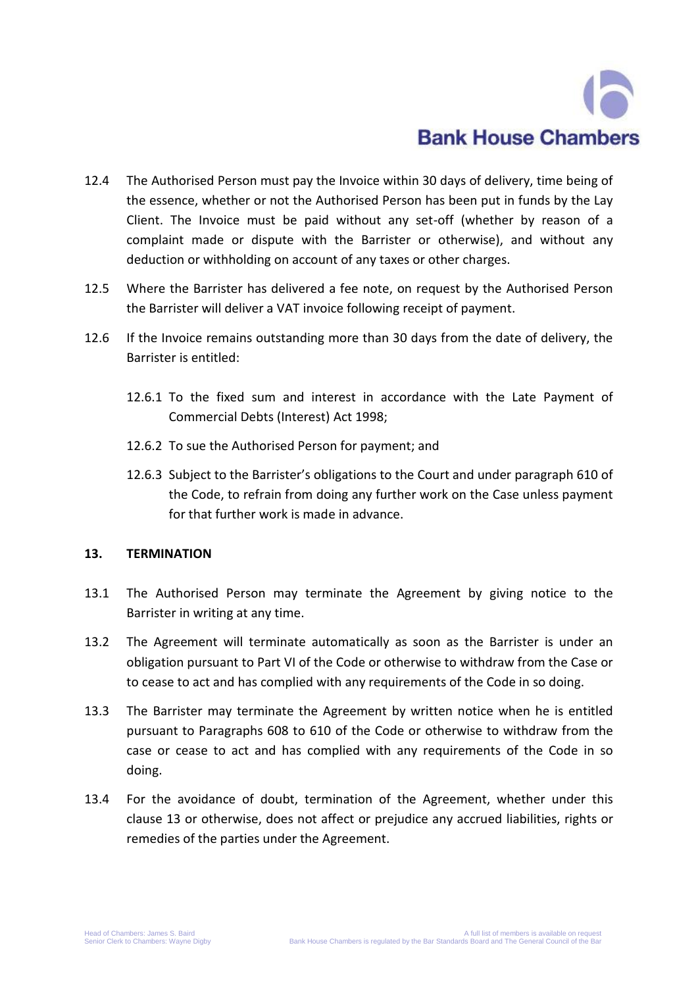# **Bank House Chambers**

- 12.4 The Authorised Person must pay the Invoice within 30 days of delivery, time being of the essence, whether or not the Authorised Person has been put in funds by the Lay Client. The Invoice must be paid without any set-off (whether by reason of a complaint made or dispute with the Barrister or otherwise), and without any deduction or withholding on account of any taxes or other charges.
- 12.5 Where the Barrister has delivered a fee note, on request by the Authorised Person the Barrister will deliver a VAT invoice following receipt of payment.
- 12.6 If the Invoice remains outstanding more than 30 days from the date of delivery, the Barrister is entitled:
	- 12.6.1 To the fixed sum and interest in accordance with the Late Payment of Commercial Debts (Interest) Act 1998;
	- 12.6.2 To sue the Authorised Person for payment; and
	- 12.6.3 Subject to the Barrister's obligations to the Court and under paragraph 610 of the Code, to refrain from doing any further work on the Case unless payment for that further work is made in advance.

### <span id="page-10-0"></span>**13. TERMINATION**

- 13.1 The Authorised Person may terminate the Agreement by giving notice to the Barrister in writing at any time.
- 13.2 The Agreement will terminate automatically as soon as the Barrister is under an obligation pursuant to Part VI of the Code or otherwise to withdraw from the Case or to cease to act and has complied with any requirements of the Code in so doing.
- 13.3 The Barrister may terminate the Agreement by written notice when he is entitled pursuant to Paragraphs 608 to 610 of the Code or otherwise to withdraw from the case or cease to act and has complied with any requirements of the Code in so doing.
- 13.4 For the avoidance of doubt, termination of the Agreement, whether under this clause 13 or otherwise, does not affect or prejudice any accrued liabilities, rights or remedies of the parties under the Agreement.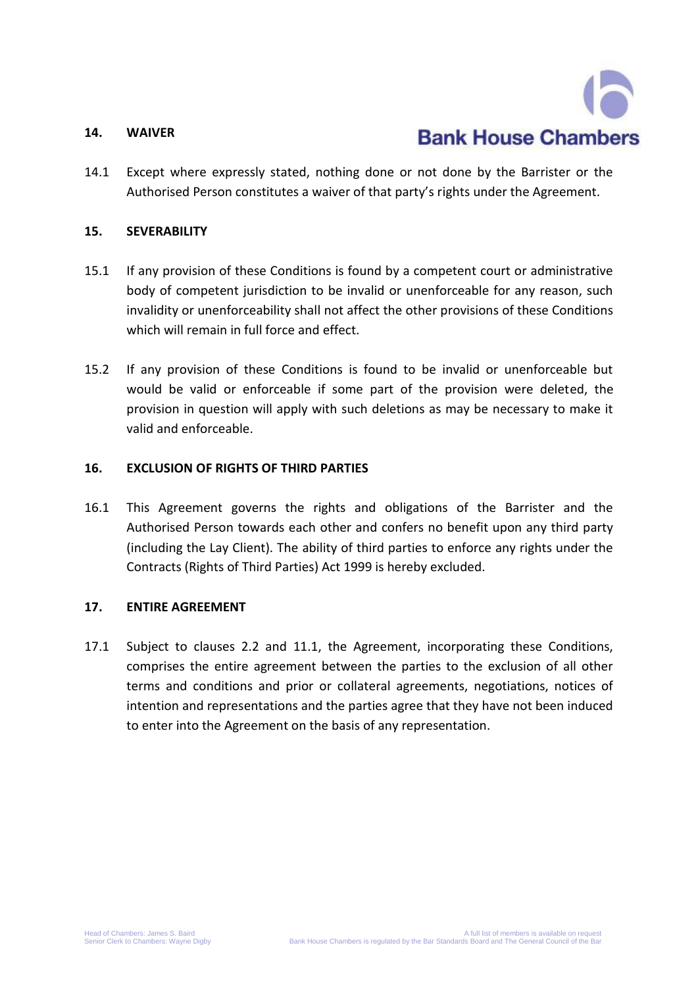## **Bank House Chambers**

### <span id="page-11-0"></span>**14. WAIVER**

14.1 Except where expressly stated, nothing done or not done by the Barrister or the Authorised Person constitutes a waiver of that party's rights under the Agreement.

### <span id="page-11-1"></span>**15. SEVERABILITY**

- 15.1 If any provision of these Conditions is found by a competent court or administrative body of competent jurisdiction to be invalid or unenforceable for any reason, such invalidity or unenforceability shall not affect the other provisions of these Conditions which will remain in full force and effect.
- 15.2 If any provision of these Conditions is found to be invalid or unenforceable but would be valid or enforceable if some part of the provision were deleted, the provision in question will apply with such deletions as may be necessary to make it valid and enforceable.

### <span id="page-11-2"></span>**16. EXCLUSION OF RIGHTS OF THIRD PARTIES**

16.1 This Agreement governs the rights and obligations of the Barrister and the Authorised Person towards each other and confers no benefit upon any third party (including the Lay Client). The ability of third parties to enforce any rights under the Contracts (Rights of Third Parties) Act 1999 is hereby excluded.

### <span id="page-11-3"></span>**17. ENTIRE AGREEMENT**

<span id="page-11-4"></span>17.1 Subject to clauses 2.2 and 11.1, the Agreement, incorporating these Conditions, comprises the entire agreement between the parties to the exclusion of all other terms and conditions and prior or collateral agreements, negotiations, notices of intention and representations and the parties agree that they have not been induced to enter into the Agreement on the basis of any representation.